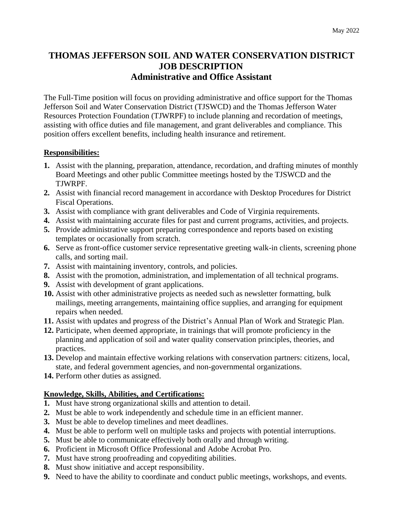# **THOMAS JEFFERSON SOIL AND WATER CONSERVATION DISTRICT JOB DESCRIPTION Administrative and Office Assistant**

The Full-Time position will focus on providing administrative and office support for the Thomas Jefferson Soil and Water Conservation District (TJSWCD) and the Thomas Jefferson Water Resources Protection Foundation (TJWRPF) to include planning and recordation of meetings, assisting with office duties and file management, and grant deliverables and compliance. This position offers excellent benefits, including health insurance and retirement.

### **Responsibilities:**

- **1.** Assist with the planning, preparation, attendance, recordation, and drafting minutes of monthly Board Meetings and other public Committee meetings hosted by the TJSWCD and the TJWRPF.
- **2.** Assist with financial record management in accordance with Desktop Procedures for District Fiscal Operations.
- **3.** Assist with compliance with grant deliverables and Code of Virginia requirements.
- **4.** Assist with maintaining accurate files for past and current programs, activities, and projects.
- **5.** Provide administrative support preparing correspondence and reports based on existing templates or occasionally from scratch.
- **6.** Serve as front-office customer service representative greeting walk-in clients, screening phone calls, and sorting mail.
- **7.** Assist with maintaining inventory, controls, and policies.
- **8.** Assist with the promotion, administration, and implementation of all technical programs.
- **9.** Assist with development of grant applications.
- **10.** Assist with other administrative projects as needed such as newsletter formatting, bulk mailings, meeting arrangements, maintaining office supplies, and arranging for equipment repairs when needed.
- **11.** Assist with updates and progress of the District's Annual Plan of Work and Strategic Plan.
- **12.** Participate, when deemed appropriate, in trainings that will promote proficiency in the planning and application of soil and water quality conservation principles, theories, and practices.
- **13.** Develop and maintain effective working relations with conservation partners: citizens, local, state, and federal government agencies, and non-governmental organizations.
- **14.** Perform other duties as assigned.

## **Knowledge, Skills, Abilities, and Certifications:**

- **1.** Must have strong organizational skills and attention to detail.
- **2.** Must be able to work independently and schedule time in an efficient manner.
- **3.** Must be able to develop timelines and meet deadlines.
- **4.** Must be able to perform well on multiple tasks and projects with potential interruptions.
- **5.** Must be able to communicate effectively both orally and through writing.
- **6.** Proficient in Microsoft Office Professional and Adobe Acrobat Pro.
- **7.** Must have strong proofreading and copyediting abilities.
- **8.** Must show initiative and accept responsibility.
- **9.** Need to have the ability to coordinate and conduct public meetings, workshops, and events.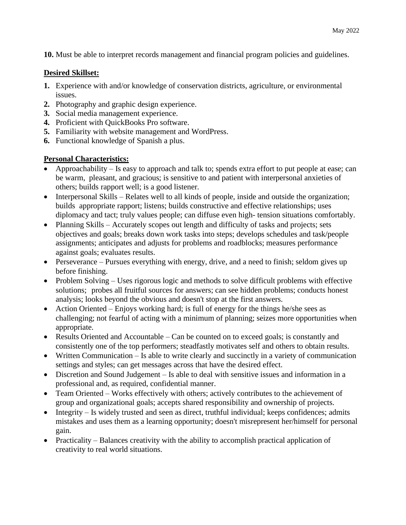**10.** Must be able to interpret records management and financial program policies and guidelines.

#### **Desired Skillset:**

- **1.** Experience with and/or knowledge of conservation districts, agriculture, or environmental issues.
- **2.** Photography and graphic design experience.
- **3.** Social media management experience.
- **4.** Proficient with QuickBooks Pro software.
- **5.** Familiarity with website management and WordPress.
- **6.** Functional knowledge of Spanish a plus.

## **Personal Characteristics:**

- Approachability Is easy to approach and talk to; spends extra effort to put people at ease; can be warm, pleasant, and gracious; is sensitive to and patient with interpersonal anxieties of others; builds rapport well; is a good listener.
- Interpersonal Skills Relates well to all kinds of people, inside and outside the organization; builds appropriate rapport; listens; builds constructive and effective relationships; uses diplomacy and tact; truly values people; can diffuse even high- tension situations comfortably.
- Planning Skills Accurately scopes out length and difficulty of tasks and projects; sets objectives and goals; breaks down work tasks into steps; develops schedules and task/people assignments; anticipates and adjusts for problems and roadblocks; measures performance against goals; evaluates results.
- Perseverance Pursues everything with energy, drive, and a need to finish; seldom gives up before finishing.
- Problem Solving Uses rigorous logic and methods to solve difficult problems with effective solutions; probes all fruitful sources for answers; can see hidden problems; conducts honest analysis; looks beyond the obvious and doesn't stop at the first answers.
- Action Oriented Enjoys working hard; is full of energy for the things he/she sees as challenging; not fearful of acting with a minimum of planning; seizes more opportunities when appropriate.
- Results Oriented and Accountable Can be counted on to exceed goals; is constantly and consistently one of the top performers; steadfastly motivates self and others to obtain results.
- Written Communication Is able to write clearly and succinctly in a variety of communication settings and styles; can get messages across that have the desired effect.
- Discretion and Sound Judgement Is able to deal with sensitive issues and information in a professional and, as required, confidential manner.
- Team Oriented Works effectively with others; actively contributes to the achievement of group and organizational goals; accepts shared responsibility and ownership of projects.
- Integrity Is widely trusted and seen as direct, truthful individual; keeps confidences; admits mistakes and uses them as a learning opportunity; doesn't misrepresent her/himself for personal gain.
- Practicality Balances creativity with the ability to accomplish practical application of creativity to real world situations.